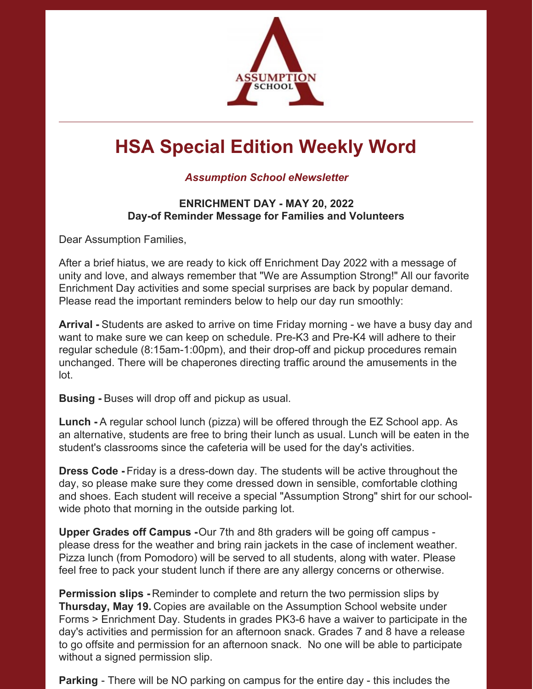

## **HSA Special Edition Weekly Word**

## *Assumption School eNewsletter*

## **ENRICHMENT DAY - MAY 20, 2022 Day-of Reminder Message for Families and Volunteers**

Dear Assumption Families,

After a brief hiatus, we are ready to kick off Enrichment Day 2022 with a message of unity and love, and always remember that "We are Assumption Strong!" All our favorite Enrichment Day activities and some special surprises are back by popular demand. Please read the important reminders below to help our day run smoothly:

**Arrival -** Students are asked to arrive on time Friday morning - we have a busy day and want to make sure we can keep on schedule. Pre-K3 and Pre-K4 will adhere to their regular schedule (8:15am-1:00pm), and their drop-off and pickup procedures remain unchanged. There will be chaperones directing traffic around the amusements in the lot.

**Busing -** Buses will drop off and pickup as usual.

**Lunch -** A regular school lunch (pizza) will be offered through the EZ School app. As an alternative, students are free to bring their lunch as usual. Lunch will be eaten in the student's classrooms since the cafeteria will be used for the day's activities.

**Dress Code -** Friday is a dress-down day. The students will be active throughout the day, so please make sure they come dressed down in sensible, comfortable clothing and shoes. Each student will receive a special "Assumption Strong" shirt for our schoolwide photo that morning in the outside parking lot.

**Upper Grades off Campus -**Our 7th and 8th graders will be going off campus please dress for the weather and bring rain jackets in the case of inclement weather. Pizza lunch (from Pomodoro) will be served to all students, along with water. Please feel free to pack your student lunch if there are any allergy concerns or otherwise.

**Permission slips -** Reminder to complete and return the two permission slips by **Thursday, May 19.** Copies are available on the Assumption School website under Forms > Enrichment Day. Students in grades PK3-6 have a waiver to participate in the day's activities and permission for an afternoon snack. Grades 7 and 8 have a release to go offsite and permission for an afternoon snack. No one will be able to participate without a signed permission slip.

**Parking** - There will be NO parking on campus for the entire day - this includes the